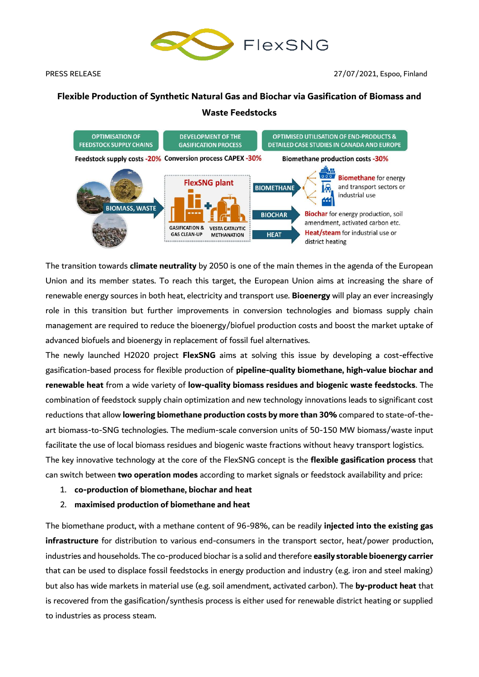

# **Flexible Production of Synthetic Natural Gas and Biochar via Gasification of Biomass and Waste Feedstocks**



The transition towards **climate neutrality** by 2050 is one of the main themes in the agenda of the European Union and its member states. To reach this target, the European Union aims at increasing the share of renewable energy sources in both heat, electricity and transport use. **Bioenergy** will play an ever increasingly role in this transition but further improvements in conversion technologies and biomass supply chain management are required to reduce the bioenergy/biofuel production costs and boost the market uptake of advanced biofuels and bioenergy in replacement of fossil fuel alternatives.

The newly launched H2020 project **FlexSNG** aims at solving this issue by developing a cost-effective gasification-based process for flexible production of **pipeline-quality biomethane, high-value biochar and renewable heat** from a wide variety of **low-quality biomass residues and biogenic waste feedstocks**. The combination of feedstock supply chain optimization and new technology innovations leads to significant cost reductions that allow **lowering biomethane production costs by more than 30%** compared to state-of-theart biomass-to-SNG technologies. The medium-scale conversion units of 50-150 MW biomass/waste input facilitate the use of local biomass residues and biogenic waste fractions without heavy transport logistics. The key innovative technology at the core of the FlexSNG concept is the **flexible gasification process** that can switch between **two operation modes** according to market signals or feedstock availability and price:

1. **co-production of biomethane, biochar and heat**

## 2. **maximised production of biomethane and heat**

The biomethane product, with a methane content of 96-98%, can be readily **injected into the existing gas infrastructure** for distribution to various end-consumers in the transport sector, heat/power production, industries and households. The co-produced biochar is a solid and therefore **easily storable bioenergy carrier**  that can be used to displace fossil feedstocks in energy production and industry (e.g. iron and steel making) but also has wide markets in material use (e.g. soil amendment, activated carbon). The **by-product heat** that is recovered from the gasification/synthesis process is either used for renewable district heating or supplied to industries as process steam.